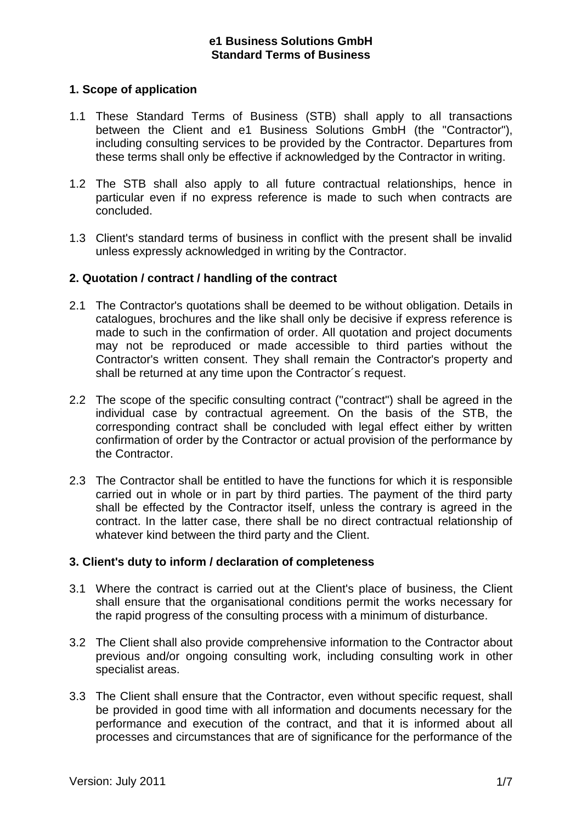## **1. Scope of application**

- 1.1 These Standard Terms of Business (STB) shall apply to all transactions between the Client and e1 Business Solutions GmbH (the "Contractor"), including consulting services to be provided by the Contractor. Departures from these terms shall only be effective if acknowledged by the Contractor in writing.
- 1.2 The STB shall also apply to all future contractual relationships, hence in particular even if no express reference is made to such when contracts are concluded.
- 1.3 Client's standard terms of business in conflict with the present shall be invalid unless expressly acknowledged in writing by the Contractor.

## **2. Quotation / contract / handling of the contract**

- 2.1 The Contractor's quotations shall be deemed to be without obligation. Details in catalogues, brochures and the like shall only be decisive if express reference is made to such in the confirmation of order. All quotation and project documents may not be reproduced or made accessible to third parties without the Contractor's written consent. They shall remain the Contractor's property and shall be returned at any time upon the Contractor´s request.
- 2.2 The scope of the specific consulting contract ("contract") shall be agreed in the individual case by contractual agreement. On the basis of the STB, the corresponding contract shall be concluded with legal effect either by written confirmation of order by the Contractor or actual provision of the performance by the Contractor.
- 2.3 The Contractor shall be entitled to have the functions for which it is responsible carried out in whole or in part by third parties. The payment of the third party shall be effected by the Contractor itself, unless the contrary is agreed in the contract. In the latter case, there shall be no direct contractual relationship of whatever kind between the third party and the Client.

## **3. Client's duty to inform / declaration of completeness**

- 3.1 Where the contract is carried out at the Client's place of business, the Client shall ensure that the organisational conditions permit the works necessary for the rapid progress of the consulting process with a minimum of disturbance.
- 3.2 The Client shall also provide comprehensive information to the Contractor about previous and/or ongoing consulting work, including consulting work in other specialist areas.
- 3.3 The Client shall ensure that the Contractor, even without specific request, shall be provided in good time with all information and documents necessary for the performance and execution of the contract, and that it is informed about all processes and circumstances that are of significance for the performance of the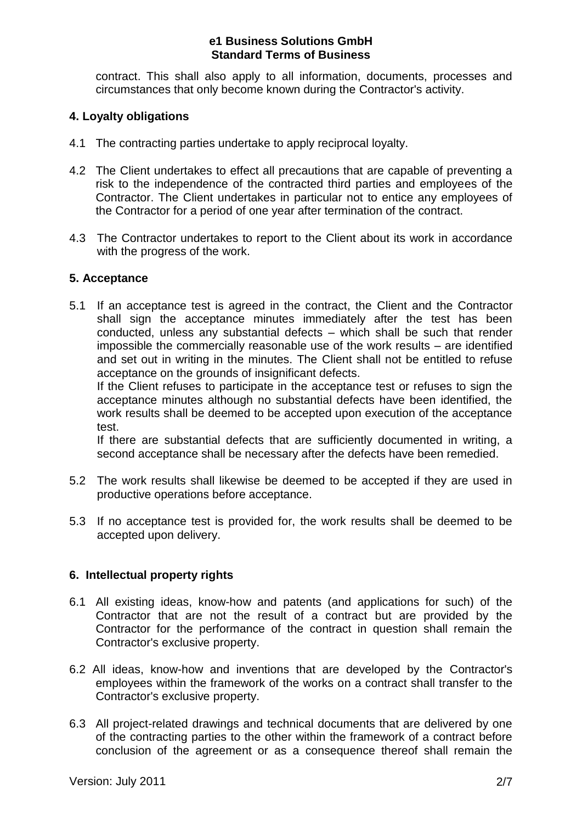contract. This shall also apply to all information, documents, processes and circumstances that only become known during the Contractor's activity.

# **4. Loyalty obligations**

- 4.1 The contracting parties undertake to apply reciprocal loyalty.
- 4.2 The Client undertakes to effect all precautions that are capable of preventing a risk to the independence of the contracted third parties and employees of the Contractor. The Client undertakes in particular not to entice any employees of the Contractor for a period of one year after termination of the contract.
- 4.3 The Contractor undertakes to report to the Client about its work in accordance with the progress of the work.

## **5. Acceptance**

5.1 If an acceptance test is agreed in the contract, the Client and the Contractor shall sign the acceptance minutes immediately after the test has been conducted, unless any substantial defects – which shall be such that render impossible the commercially reasonable use of the work results – are identified and set out in writing in the minutes. The Client shall not be entitled to refuse acceptance on the grounds of insignificant defects.

If the Client refuses to participate in the acceptance test or refuses to sign the acceptance minutes although no substantial defects have been identified, the work results shall be deemed to be accepted upon execution of the acceptance test.

If there are substantial defects that are sufficiently documented in writing, a second acceptance shall be necessary after the defects have been remedied.

- 5.2 The work results shall likewise be deemed to be accepted if they are used in productive operations before acceptance.
- 5.3 If no acceptance test is provided for, the work results shall be deemed to be accepted upon delivery.

# **6. Intellectual property rights**

- 6.1 All existing ideas, know-how and patents (and applications for such) of the Contractor that are not the result of a contract but are provided by the Contractor for the performance of the contract in question shall remain the Contractor's exclusive property.
- 6.2 All ideas, know-how and inventions that are developed by the Contractor's employees within the framework of the works on a contract shall transfer to the Contractor's exclusive property.
- 6.3 All project-related drawings and technical documents that are delivered by one of the contracting parties to the other within the framework of a contract before conclusion of the agreement or as a consequence thereof shall remain the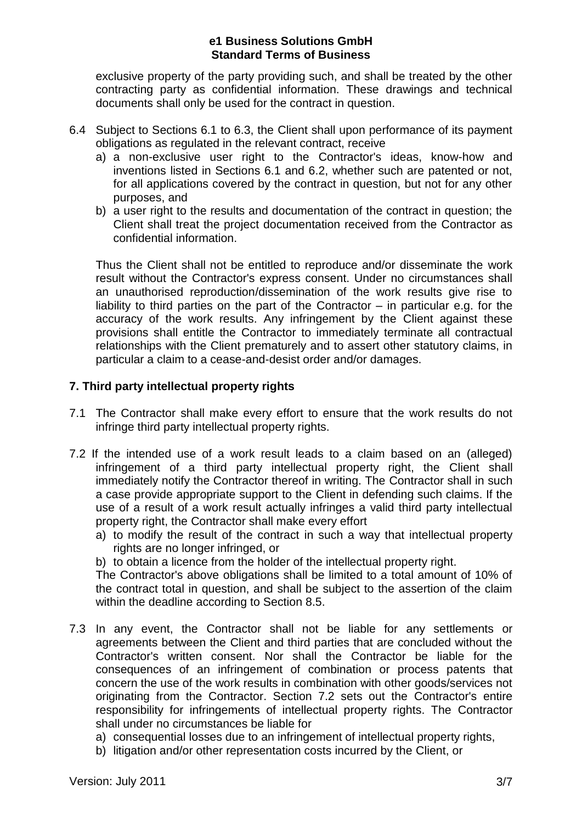exclusive property of the party providing such, and shall be treated by the other contracting party as confidential information. These drawings and technical documents shall only be used for the contract in question.

- 6.4 Subject to Sections 6.1 to 6.3, the Client shall upon performance of its payment obligations as regulated in the relevant contract, receive
	- a) a non-exclusive user right to the Contractor's ideas, know-how and inventions listed in Sections 6.1 and 6.2, whether such are patented or not, for all applications covered by the contract in question, but not for any other purposes, and
	- b) a user right to the results and documentation of the contract in question; the Client shall treat the project documentation received from the Contractor as confidential information.

Thus the Client shall not be entitled to reproduce and/or disseminate the work result without the Contractor's express consent. Under no circumstances shall an unauthorised reproduction/dissemination of the work results give rise to liability to third parties on the part of the Contractor – in particular e.g. for the accuracy of the work results. Any infringement by the Client against these provisions shall entitle the Contractor to immediately terminate all contractual relationships with the Client prematurely and to assert other statutory claims, in particular a claim to a cease-and-desist order and/or damages.

# **7. Third party intellectual property rights**

- 7.1 The Contractor shall make every effort to ensure that the work results do not infringe third party intellectual property rights.
- 7.2 If the intended use of a work result leads to a claim based on an (alleged) infringement of a third party intellectual property right, the Client shall immediately notify the Contractor thereof in writing. The Contractor shall in such a case provide appropriate support to the Client in defending such claims. If the use of a result of a work result actually infringes a valid third party intellectual property right, the Contractor shall make every effort
	- a) to modify the result of the contract in such a way that intellectual property rights are no longer infringed, or
	- b) to obtain a licence from the holder of the intellectual property right.

The Contractor's above obligations shall be limited to a total amount of 10% of the contract total in question, and shall be subject to the assertion of the claim within the deadline according to Section 8.5.

- 7.3 In any event, the Contractor shall not be liable for any settlements or agreements between the Client and third parties that are concluded without the Contractor's written consent. Nor shall the Contractor be liable for the consequences of an infringement of combination or process patents that concern the use of the work results in combination with other goods/services not originating from the Contractor. Section 7.2 sets out the Contractor's entire responsibility for infringements of intellectual property rights. The Contractor shall under no circumstances be liable for
	- a) consequential losses due to an infringement of intellectual property rights,
	- b) litigation and/or other representation costs incurred by the Client, or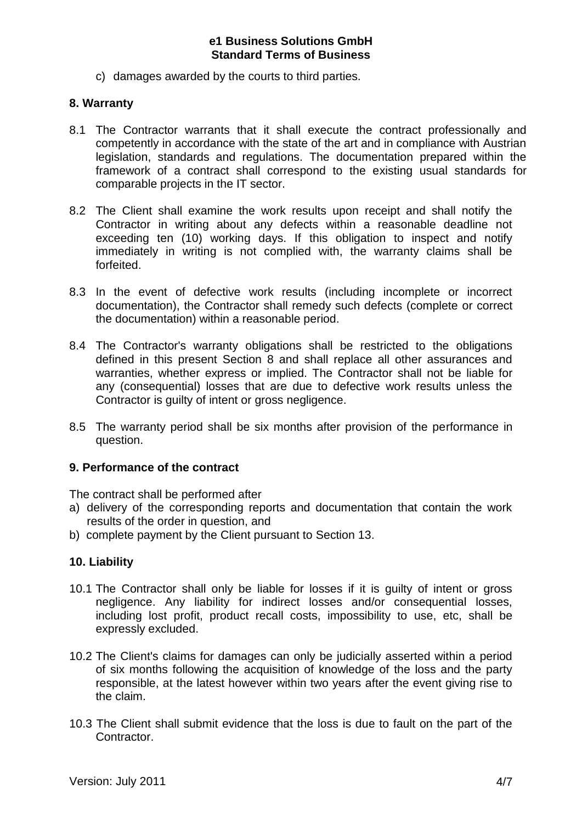c) damages awarded by the courts to third parties.

#### **8. Warranty**

- 8.1 The Contractor warrants that it shall execute the contract professionally and competently in accordance with the state of the art and in compliance with Austrian legislation, standards and regulations. The documentation prepared within the framework of a contract shall correspond to the existing usual standards for comparable projects in the IT sector.
- 8.2 The Client shall examine the work results upon receipt and shall notify the Contractor in writing about any defects within a reasonable deadline not exceeding ten (10) working days. If this obligation to inspect and notify immediately in writing is not complied with, the warranty claims shall be forfeited.
- 8.3 In the event of defective work results (including incomplete or incorrect documentation), the Contractor shall remedy such defects (complete or correct the documentation) within a reasonable period.
- 8.4 The Contractor's warranty obligations shall be restricted to the obligations defined in this present Section 8 and shall replace all other assurances and warranties, whether express or implied. The Contractor shall not be liable for any (consequential) losses that are due to defective work results unless the Contractor is guilty of intent or gross negligence.
- 8.5 The warranty period shall be six months after provision of the performance in question.

## **9. Performance of the contract**

The contract shall be performed after

- a) delivery of the corresponding reports and documentation that contain the work results of the order in question, and
- b) complete payment by the Client pursuant to Section 13.

## **10. Liability**

- 10.1 The Contractor shall only be liable for losses if it is guilty of intent or gross negligence. Any liability for indirect losses and/or consequential losses, including lost profit, product recall costs, impossibility to use, etc, shall be expressly excluded.
- 10.2 The Client's claims for damages can only be judicially asserted within a period of six months following the acquisition of knowledge of the loss and the party responsible, at the latest however within two years after the event giving rise to the claim.
- 10.3 The Client shall submit evidence that the loss is due to fault on the part of the Contractor.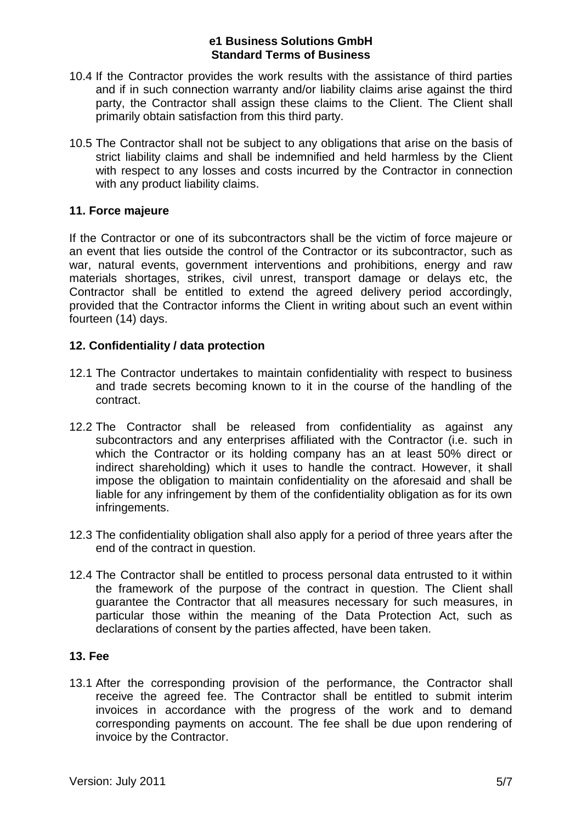- 10.4 If the Contractor provides the work results with the assistance of third parties and if in such connection warranty and/or liability claims arise against the third party, the Contractor shall assign these claims to the Client. The Client shall primarily obtain satisfaction from this third party.
- 10.5 The Contractor shall not be subject to any obligations that arise on the basis of strict liability claims and shall be indemnified and held harmless by the Client with respect to any losses and costs incurred by the Contractor in connection with any product liability claims.

## **11. Force majeure**

If the Contractor or one of its subcontractors shall be the victim of force majeure or an event that lies outside the control of the Contractor or its subcontractor, such as war, natural events, government interventions and prohibitions, energy and raw materials shortages, strikes, civil unrest, transport damage or delays etc, the Contractor shall be entitled to extend the agreed delivery period accordingly, provided that the Contractor informs the Client in writing about such an event within fourteen (14) days.

## **12. Confidentiality / data protection**

- 12.1 The Contractor undertakes to maintain confidentiality with respect to business and trade secrets becoming known to it in the course of the handling of the contract.
- 12.2 The Contractor shall be released from confidentiality as against any subcontractors and any enterprises affiliated with the Contractor (i.e. such in which the Contractor or its holding company has an at least 50% direct or indirect shareholding) which it uses to handle the contract. However, it shall impose the obligation to maintain confidentiality on the aforesaid and shall be liable for any infringement by them of the confidentiality obligation as for its own infringements.
- 12.3 The confidentiality obligation shall also apply for a period of three years after the end of the contract in question.
- 12.4 The Contractor shall be entitled to process personal data entrusted to it within the framework of the purpose of the contract in question. The Client shall guarantee the Contractor that all measures necessary for such measures, in particular those within the meaning of the Data Protection Act, such as declarations of consent by the parties affected, have been taken.

## **13. Fee**

13.1 After the corresponding provision of the performance, the Contractor shall receive the agreed fee. The Contractor shall be entitled to submit interim invoices in accordance with the progress of the work and to demand corresponding payments on account. The fee shall be due upon rendering of invoice by the Contractor.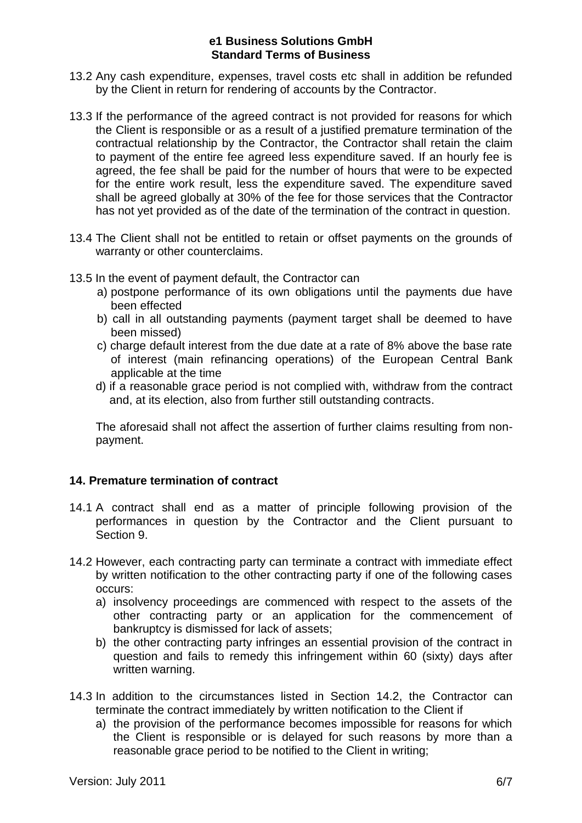- 13.2 Any cash expenditure, expenses, travel costs etc shall in addition be refunded by the Client in return for rendering of accounts by the Contractor.
- 13.3 If the performance of the agreed contract is not provided for reasons for which the Client is responsible or as a result of a justified premature termination of the contractual relationship by the Contractor, the Contractor shall retain the claim to payment of the entire fee agreed less expenditure saved. If an hourly fee is agreed, the fee shall be paid for the number of hours that were to be expected for the entire work result, less the expenditure saved. The expenditure saved shall be agreed globally at 30% of the fee for those services that the Contractor has not yet provided as of the date of the termination of the contract in question.
- 13.4 The Client shall not be entitled to retain or offset payments on the grounds of warranty or other counterclaims.
- 13.5 In the event of payment default, the Contractor can
	- a) postpone performance of its own obligations until the payments due have been effected
	- b) call in all outstanding payments (payment target shall be deemed to have been missed)
	- c) charge default interest from the due date at a rate of 8% above the base rate of interest (main refinancing operations) of the European Central Bank applicable at the time
	- d) if a reasonable grace period is not complied with, withdraw from the contract and, at its election, also from further still outstanding contracts.

The aforesaid shall not affect the assertion of further claims resulting from nonpayment.

## **14. Premature termination of contract**

- 14.1 A contract shall end as a matter of principle following provision of the performances in question by the Contractor and the Client pursuant to Section 9.
- 14.2 However, each contracting party can terminate a contract with immediate effect by written notification to the other contracting party if one of the following cases occurs:
	- a) insolvency proceedings are commenced with respect to the assets of the other contracting party or an application for the commencement of bankruptcy is dismissed for lack of assets;
	- b) the other contracting party infringes an essential provision of the contract in question and fails to remedy this infringement within 60 (sixty) days after written warning.
- 14.3 In addition to the circumstances listed in Section 14.2, the Contractor can terminate the contract immediately by written notification to the Client if
	- a) the provision of the performance becomes impossible for reasons for which the Client is responsible or is delayed for such reasons by more than a reasonable grace period to be notified to the Client in writing;